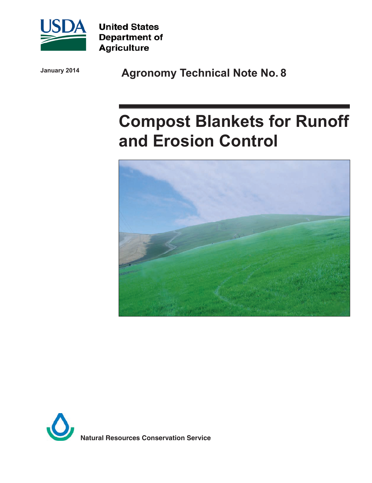

**United States Department of Agriculture** 

**January 2014**

**Agronomy Technical Note No. 8**

# **Compost Blankets for Runoff and Erosion Control**



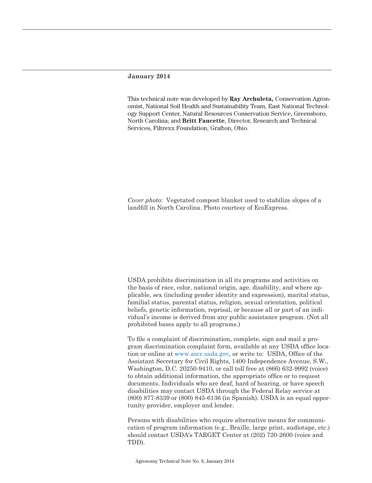#### **January 2014**

This technical note was developed by **Ray Archuleta,** Conservation Agronomist, National Soil Health and Sustainability Team, East National Technology Support Center, Natural Resources Conservation Service, Greensboro, North Carolina; and **Britt Faucette**, Director, Research and Technical Services, Filtrexx Foundation, Grafton, Ohio.

*Cover photo*: Vegetated compost blanket used to stabilize slopes of a landfill in North Carolina. Photo courtesy of EcoExpress.

USDA prohibits discrimination in all its programs and activities on the basis of race, color, national origin, age, disability, and where applicable, sex (including gender identity and expression), marital status, familial status, parental status, religion, sexual orientation, political beliefs, genetic information, reprisal, or because all or part of an individual's income is derived from any public assistance program. (Not all prohibited bases apply to all programs.)

To file a complaint of discrimination, complete, sign and mail a program discrimination complaint form, available at any USDA office location or online at [www.ascr.usda.gov](http://www.ascr.usda.gov), or write to: USDA, Office of the Assistant Secretary for Civil Rights, 1400 Independence Avenue, S.W., Washington, D.C. 20250-9410, or call toll free at (866) 632-9992 (voice) to obtain additional information, the appropriate office or to request documents. Individuals who are deaf, hard of hearing, or have speech disabilities may contact USDA through the Federal Relay service at (800) 877-8339 or (800) 845-6136 (in Spanish). USDA is an equal opportunity provider, employer and lender.

Persons with disabilities who require alternative means for communication of program information (e.g., Braille, large print, audiotape, etc.) should contact USDA's TARGET Center at (202) 720-2600 (voice and TDD).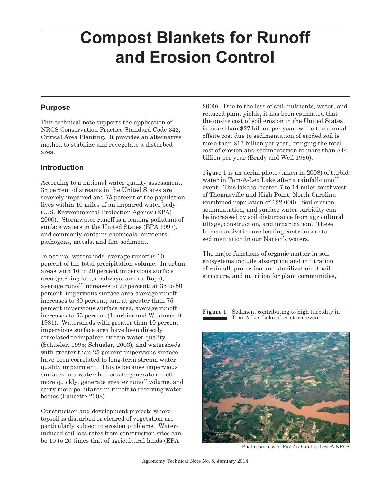# **Compost Blankets for Runoff and Erosion Control**

## **Purpose**

This technical note supports the application of NRCS Conservation Practice Standard Code 342, Critical Area Planting. It provides an alternative method to stabilize and revegetate a disturbed area.

# **Introduction**

According to a national water quality assessment, 35 percent of streams in the United States are severely impaired and 75 percent of the population lives within 10 miles of an impaired water body (U.S. Environmental Protection Agency (EPA) 2000). Stormwater runoff is a leading pollutant of surface waters in the United States (EPA 1997), and commonly contains chemicals, nutrients, pathogens, metals, and fine sediment.

In natural watersheds, average runoff is 10 percent of the total precipitation volume. In urban areas with 10 to 20 percent impervious surface area (parking lots, roadways, and rooftops), average runoff increases to 20 percent; at 35 to 50 percent, impervious surface area average runoff increases to 30 percent; and at greater than 75 percent impervious surface area, average runoff increases to 55 percent (Tourbier and Westmacott 1981). Watersheds with greater than 10 percent impervious surface area have been directly correlated to impaired stream water quality (Schueler, 1995; Schueler, 2003), and watersheds with greater than 25 percent impervious surface have been correlated to long-term stream water quality impairment. This is because impervious surfaces in a watershed or site generate runoff more quickly, generate greater runoff volume, and carry more pollutants in runoff to receiving water bodies (Faucette 2008).

Construction and development projects where topsoil is disturbed or cleared of vegetation are particularly subject to erosion problems. Waterinduced soil loss rates from construction sites can be 10 to 20 times that of agricultural lands (EPA

2000). Due to the loss of soil, nutrients, water, and reduced plant yields, it has been estimated that the onsite cost of soil erosion in the United States is more than \$27 billion per year, while the annual offsite cost due to sedimentation of eroded soil is more than \$17 billion per year, bringing the total cost of erosion and sedimentation to more than \$44 billion per year (Brady and Weil 1996).

Figure 1 is an aerial photo (taken in 2008) of turbid water in Tom-A-Lex Lake after a rainfall-runoff event. This lake is located 7 to 14 miles southwest of Thomasville and High Point, North Carolina (combined population of 122,000). Soil erosion, sedimentation, and surface water turbidity can be increased by soil disturbance from agricultural tillage, construction, and urbanization. These human activities are leading contributors to sedimentation in our Nation's waters.

The major functions of organic matter in soil ecosystems include absorption and infiltration of rainfall, protection and stabilization of soil, structure, and nutrition for plant communities,

**Figure 1** Sediment contributing to high turbidity in Tom-A-Lex Lake after storm event



Photo courtesy of Ray Archuletta, USDA NRCS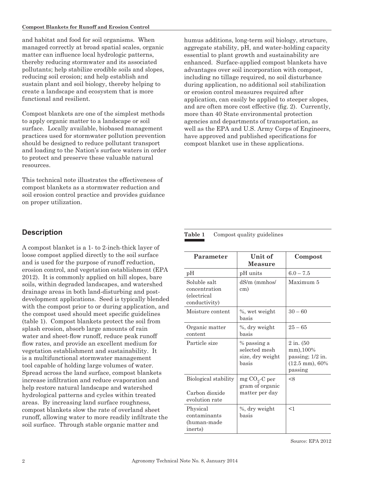and habitat and food for soil organisms. When managed correctly at broad spatial scales, organic matter can influence local hydrologic patterns, thereby reducing stormwater and its associated pollutants; help stabilize erodible soils and slopes, reducing soil erosion; and help establish and sustain plant and soil biology, thereby helping to create a landscape and ecosystem that is more functional and resilient.

Compost blankets are one of the simplest methods to apply organic matter to a landscape or soil surface. Locally available, biobased management practices used for stormwater pollution prevention should be designed to reduce pollutant transport and loading to the Nation's surface waters in order to protect and preserve these valuable natural resources.

This technical note illustrates the effectiveness of compost blankets as a stormwater reduction and soil erosion control practice and provides guidance on proper utilization.

# **Description**

A compost blanket is a 1- to 2-inch-thick layer of loose compost applied directly to the soil surface and is used for the purpose of runoff reduction, erosion control, and vegetation establishment (EPA 2012). It is commonly applied on hill slopes, bare soils, within degraded landscapes, and watershed drainage areas in both land-disturbing and postdevelopment applications. Seed is typically blended with the compost prior to or during application, and the compost used should meet specific guidelines (table 1). Compost blankets protect the soil from splash erosion, absorb large amounts of rain water and sheet-flow runoff, reduce peak runoff flow rates, and provide an excellent medium for vegetation establishment and sustainability. It is a multifunctional stormwater management tool capable of holding large volumes of water. Spread across the land surface, compost blankets increase infiltration and reduce evaporation and help restore natural landscape and watershed hydrological patterns and cycles within treated areas. By increasing land surface roughness, compost blankets slow the rate of overland sheet runoff, allowing water to more readily infiltrate the soil surface. Through stable organic matter and

humus additions, long-term soil biology, structure, aggregate stability, pH, and water-holding capacity essential to plant growth and sustainability are enhanced. Surface-applied compost blankets have advantages over soil incorporation with compost, including no tillage required, no soil disturbance during application, no additional soil stabilization or erosion control measures required after application, can easily be applied to steeper slopes, and are often more cost effective (fig. 2). Currently, more than 40 State environmental protection agencies and departments of transportation, as well as the EPA and U.S. Army Corps of Engineers, have approved and published specifications for compost blanket use in these applications.

#### **Table 1** Compost quality guidelines

| Parameter                                                             | Unit of<br>Measure                                        | Compost                                                                                   |  |  |  |  |
|-----------------------------------------------------------------------|-----------------------------------------------------------|-------------------------------------------------------------------------------------------|--|--|--|--|
| рH                                                                    | pH units                                                  | $6.0 - 7.5$                                                                               |  |  |  |  |
| Soluble salt<br>concentration<br><i>(electrical)</i><br>conductivity) | dS/m (mmhos/<br>cm)                                       | Maximum 5                                                                                 |  |  |  |  |
| Moisture content                                                      | %, wet weight<br>hasis                                    | $30 - 60$                                                                                 |  |  |  |  |
| Organic matter<br>content                                             | %, dry weight<br>basis                                    | $25 - 65$                                                                                 |  |  |  |  |
| Particle size                                                         | % passing a<br>selected mesh<br>size, dry weight<br>basis | $2$ in. $(50)$<br>mm), 100%<br>passing; $1/2$ in.<br>$(12.5 \text{ mm})$ , 60%<br>passing |  |  |  |  |
| Biological stability<br>Carbon dioxide                                | mg $CO_2$ -C per<br>gram of organic<br>matter per day     | <8                                                                                        |  |  |  |  |
| evolution rate                                                        |                                                           |                                                                                           |  |  |  |  |
| Physical<br>contaminants<br>(human-made<br>inerts)                    | %, dry weight<br>basis                                    | <1                                                                                        |  |  |  |  |

Source: EPA 2012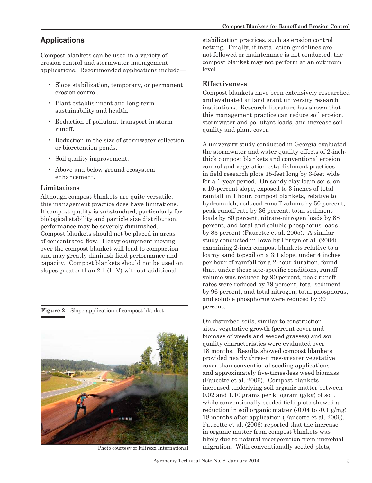# **Applications**

Compost blankets can be used in a variety of erosion control and stormwater management applications. Recommended applications include—

- Slope stabilization, temporary, or permanent erosion control.
- Plant establishment and long-term sustainability and health.
- Reduction of pollutant transport in storm runoff.
- Reduction in the size of stormwater collection or bioretention ponds.
- Soil quality improvement.
- Above and below ground ecosystem enhancement.

#### **Limitations**

Although compost blankets are quite versatile, this management practice does have limitations. If compost quality is substandard, particularly for biological stability and particle size distribution, performance may be severely diminished. Compost blankets should not be placed in areas of concentrated flow. Heavy equipment moving over the compost blanket will lead to compaction and may greatly diminish field performance and capacity. Compost blankets should not be used on slopes greater than 2:1 (H:V) without additional

**Figure 2** Slope application of compost blanket



Photo courtesy of Filtrexx International

stabilization practices, such as erosion control netting. Finally, if installation guidelines are not followed or maintenance is not conducted, the compost blanket may not perform at an optimum level.

#### **Effectiveness**

Compost blankets have been extensively researched and evaluated at land grant university research institutions. Research literature has shown that this management practice can reduce soil erosion, stormwater and pollutant loads, and increase soil quality and plant cover.

A university study conducted in Georgia evaluated the stormwater and water quality effects of 2-inchthick compost blankets and conventional erosion control and vegetation establishment practices in field research plots 15-feet long by 3-feet wide for a 1-year period. On sandy clay loam soils, on a 10-percent slope, exposed to 3 inches of total rainfall in 1 hour, compost blankets, relative to hydromulch, reduced runoff volume by 50 percent, peak runoff rate by 36 percent, total sediment loads by 80 percent, nitrate-nitrogen loads by 88 percent, and total and soluble phosphorus loads by 83 percent (Faucette et al. 2005). A similar study conducted in Iowa by Persyn et al. (2004) examining 2-inch compost blankets relative to a loamy sand topsoil on a 3:1 slope, under 4 inches per hour of rainfall for a 2-hour duration, found that, under these site-specific conditions, runoff volume was reduced by 90 percent, peak runoff rates were reduced by 79 percent, total sediment by 96 percent, and total nitrogen, total phosphorus, and soluble phosphorus were reduced by 99 percent.

On disturbed soils, similar to construction sites, vegetative growth (percent cover and biomass of weeds and seeded grasses) and soil quality characteristics were evaluated over 18 months. Results showed compost blankets provided nearly three-times-greater vegetative cover than conventional seeding applications and approximately five-times-less weed biomass (Faucette et al. 2006). Compost blankets increased underlying soil organic matter between 0.02 and 1.10 grams per kilogram (g/kg) of soil, while conventionally seeded field plots showed a reduction in soil organic matter (-0.04 to -0.1 g/mg) 18 months after application (Faucette et al. 2006). Faucette et al. (2006) reported that the increase in organic matter from compost blankets was likely due to natural incorporation from microbial migration. With conventionally seeded plots,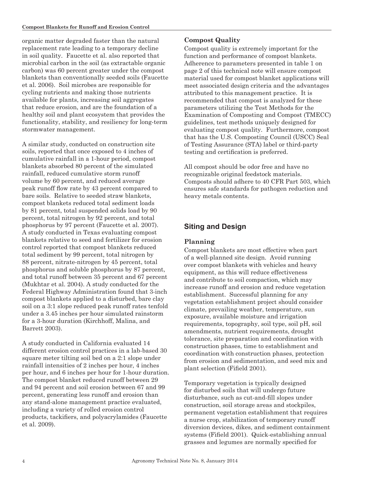organic matter degraded faster than the natural replacement rate leading to a temporary decline in soil quality. Faucette et al. also reported that microbial carbon in the soil (as extractable organic carbon) was 60 percent greater under the compost blankets than conventionally seeded soils (Faucette et al. 2006). Soil microbes are responsible for cycling nutrients and making those nutrients available for plants, increasing soil aggregates that reduce erosion, and are the foundation of a healthy soil and plant ecosystem that provides the functionality, stability, and resiliency for long-term stormwater management.

A similar study, conducted on construction site soils, reported that once exposed to 4 inches of cumulative rainfall in a 1-hour period, compost blankets absorbed 80 percent of the simulated rainfall, reduced cumulative storm runoff volume by 60 percent, and reduced average peak runoff flow rate by 43 percent compared to bare soils. Relative to seeded straw blankets, compost blankets reduced total sediment loads by 81 percent, total suspended solids load by 90 percent, total nitrogen by 92 percent, and total phosphorus by 97 percent (Faucette et al. 2007). A study conducted in Texas evaluating compost blankets relative to seed and fertilizer for erosion control reported that compost blankets reduced total sediment by 99 percent, total nitrogen by 88 percent, nitrate-nitrogen by 45 percent, total phosphorus and soluble phosphorus by 87 percent, and total runoff between 35 percent and 67 percent (Mukhtar et al. 2004). A study conducted for the Federal Highway Administration found that 3-inch compost blankets applied to a disturbed, bare clay soil on a 3:1 slope reduced peak runoff rates tenfold under a 3.45 inches per hour simulated rainstorm for a 3-hour duration (Kirchhoff, Malina, and Barrett 2003).

A study conducted in California evaluated 14 different erosion control practices in a lab-based 30 square meter tilting soil bed on a 2:1 slope under rainfall intensities of 2 inches per hour, 4 inches per hour, and 6 inches per hour for 1-hour duration. The compost blanket reduced runoff between 29 and 94 percent and soil erosion between 67 and 99 percent, generating less runoff and erosion than any stand-alone management practice evaluated, including a variety of rolled erosion control products, tackifiers, and polyacrylamides (Faucette et al. 2009).

#### **Compost Quality**

Compost quality is extremely important for the function and performance of compost blankets. Adherence to parameters presented in table 1 on page 2 of this technical note will ensure compost material used for compost blanket applications will meet associated design criteria and the advantages attributed to this management practice. It is recommended that compost is analyzed for these parameters utilizing the Test Methods for the Examination of Composting and Compost (TMECC) guidelines, test methods uniquely designed for evaluating compost quality. Furthermore, compost that has the U.S. Composting Council (USCC) Seal of Testing Assurance (STA) label or third-party testing and certification is preferred.

All compost should be odor free and have no recognizable original feedstock materials. Composts should adhere to 40 CFR Part 503, which ensures safe standards for pathogen reduction and heavy metals contents.

# **Siting and Design**

#### **Planning**

Compost blankets are most effective when part of a well-planned site design. Avoid running over compost blankets with vehicles and heavy equipment, as this will reduce effectiveness and contribute to soil compaction, which may increase runoff and erosion and reduce vegetation establishment. Successful planning for any vegetation establishment project should consider climate, prevailing weather, temperature, sun exposure, available moisture and irrigation requirements, topography, soil type, soil pH, soil amendments, nutrient requirements, drought tolerance, site preparation and coordination with construction phases, time to establishment and coordination with construction phases, protection from erosion and sedimentation, and seed mix and plant selection (Fifield 2001).

Temporary vegetation is typically designed for disturbed soils that will undergo future disturbance, such as cut-and-fill slopes under construction, soil storage areas and stockpiles, permanent vegetation establishment that requires a nurse crop, stabilization of temporary runoff diversion devices, dikes, and sediment containment systems (Fifield 2001). Quick-establishing annual grasses and legumes are normally specified for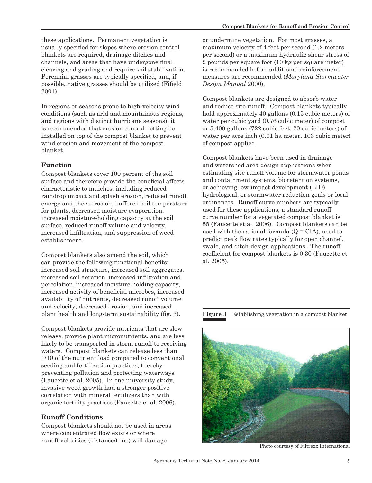these applications. Permanent vegetation is usually specified for slopes where erosion control blankets are required, drainage ditches and channels, and areas that have undergone final clearing and grading and require soil stabilization. Perennial grasses are typically specified, and, if possible, native grasses should be utilized (Fifield 2001).

In regions or seasons prone to high-velocity wind conditions (such as arid and mountainous regions, and regions with distinct hurricane seasons), it is recommended that erosion control netting be installed on top of the compost blanket to prevent wind erosion and movement of the compost blanket.

### **Function**

Compost blankets cover 100 percent of the soil surface and therefore provide the beneficial affects characteristic to mulches, including reduced raindrop impact and splash erosion, reduced runoff energy and sheet erosion, buffered soil temperature for plants, decreased moisture evaporation, increased moisture-holding capacity at the soil surface, reduced runoff volume and velocity, increased infiltration, and suppression of weed establishment.

Compost blankets also amend the soil, which can provide the following functional benefits: increased soil structure, increased soil aggregates, increased soil aeration, increased infiltration and percolation, increased moisture-holding capacity, increased activity of beneficial microbes, increased availability of nutrients, decreased runoff volume and velocity, decreased erosion, and increased plant health and long-term sustainability (fig. 3).

Compost blankets provide nutrients that are slow release, provide plant micronutrients, and are less likely to be transported in storm runoff to receiving waters. Compost blankets can release less than 1/10 of the nutrient load compared to conventional seeding and fertilization practices, thereby preventing pollution and protecting waterways (Faucette et al. 2005). In one university study, invasive weed growth had a stronger positive correlation with mineral fertilizers than with organic fertility practices (Faucette et al. 2006).

### **Runoff Conditions**

Compost blankets should not be used in areas where concentrated flow exists or where runoff velocities (distance/time) will damage

or undermine vegetation. For most grasses, a maximum velocity of 4 feet per second (1.2 meters per second) or a maximum hydraulic shear stress of 2 pounds per square foot (10 kg per square meter) is recommended before additional reinforcement measures are recommended (*Maryland Stormwater Design Manual* 2000).

Compost blankets are designed to absorb water and reduce site runoff. Compost blankets typically hold approximately 40 gallons (0.15 cubic meters) of water per cubic yard (0.76 cubic meter) of compost or 5,400 gallons (722 cubic feet, 20 cubic meters) of water per acre inch (0.01 ha meter, 103 cubic meter) of compost applied.

Compost blankets have been used in drainage and watershed area design applications when estimating site runoff volume for stormwater ponds and containment systems, bioretention systems, or achieving low-impact development (LID), hydrological, or stormwater reduction goals or local ordinances. Runoff curve numbers are typically used for these applications, a standard runoff curve number for a vegetated compost blanket is 55 (Faucette et al. 2006). Compost blankets can be used with the rational formula  $(Q = CIA)$ , used to predict peak flow rates typically for open channel, swale, and ditch-design applications. The runoff coefficient for compost blankets is 0.30 (Faucette et al. 2005).

**Figure 3** Establishing vegetation in a compost blanket



Photo courtesy of Filtrexx International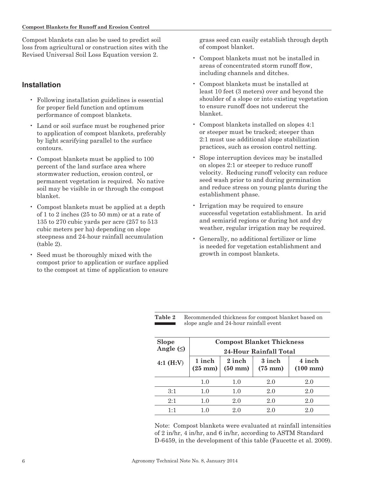Compost blankets can also be used to predict soil loss from agricultural or construction sites with the Revised Universal Soil Loss Equation version 2.

#### **Installation**

- Following installation guidelines is essential for proper field function and optimum performance of compost blankets.
- Land or soil surface must be roughened prior to application of compost blankets, preferably by light scarifying parallel to the surface contours.
- Compost blankets must be applied to 100 percent of the land surface area where stormwater reduction, erosion control, or permanent vegetation is required. No native soil may be visible in or through the compost blanket.
- Compost blankets must be applied at a depth of 1 to 2 inches (25 to 50 mm) or at a rate of 135 to 270 cubic yards per acre (257 to 513 cubic meters per ha) depending on slope steepness and 24-hour rainfall accumulation (table 2).
- Seed must be thoroughly mixed with the compost prior to application or surface applied to the compost at time of application to ensure

grass seed can easily establish through depth of compost blanket.

- Compost blankets must not be installed in areas of concentrated storm runoff flow, including channels and ditches.
- Compost blankets must be installed at least 10 feet (3 meters) over and beyond the shoulder of a slope or into existing vegetation to ensure runoff does not undercut the blanket.
- Compost blankets installed on slopes 4:1 or steeper must be tracked; steeper than 2:1 must use additional slope stabilization practices, such as erosion control netting.
- Slope interruption devices may be installed on slopes 2:1 or steeper to reduce runoff velocity. Reducing runoff velocity can reduce seed wash prior to and during germination and reduce stress on young plants during the establishment phase.
- Irrigation may be required to ensure successful vegetation establishment. In arid and semiarid regions or during hot and dry weather, regular irrigation may be required.
- Generally, no additional fertilizer or lime is needed for vegetation establishment and growth in compost blankets.

**Table 2** Recommended thickness for compost blanket based on slope angle and 24-hour rainfall event

| <b>Slope</b><br>Angle $(\le)$ | <b>Compost Blanket Thickness</b><br>24-Hour Rainfall Total |                             |                             |                              |  |
|-------------------------------|------------------------------------------------------------|-----------------------------|-----------------------------|------------------------------|--|
| 4:1 $(H:V)$                   | 1 inch<br>$(25 \text{ mm})$                                | 2 inch<br>$(50 \text{ mm})$ | 3 inch<br>$(75 \text{ mm})$ | 4 inch<br>$(100 \text{ mm})$ |  |
|                               | 1.0                                                        | $1.0\,$                     | 2.0                         | 2.0                          |  |
| 3:1                           | 1.0                                                        | 1.0                         | 2.0                         | 2.0                          |  |
| 2:1                           | $1.0\,$                                                    | $2.0\,$                     | 2.0                         | 2.0                          |  |
| 1·1                           | 1 ()                                                       | 20                          | 20                          | 20                           |  |

Note: Compost blankets were evaluated at rainfall intensities of 2 in/hr, 4 in/hr, and 6 in/hr, according to ASTM Standard D-6459, in the development of this table (Faucette et al. 2009).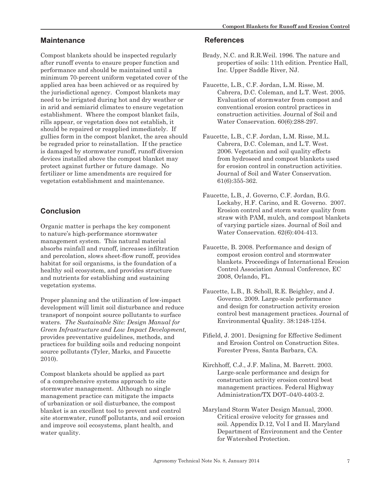# **Maintenance**

Compost blankets should be inspected regularly after runoff events to ensure proper function and performance and should be maintained until a minimum 70-percent uniform vegetated cover of the applied area has been achieved or as required by the jurisdictional agency. Compost blankets may need to be irrigated during hot and dry weather or in arid and semiarid climates to ensure vegetation establishment. Where the compost blanket fails, rills appear, or vegetation does not establish, it should be repaired or reapplied immediately. If gullies form in the compost blanket, the area should be regraded prior to reinstallation. If the practice is damaged by stormwater runoff, runoff diversion devices installed above the compost blanket may protect against further or future damage. No fertilizer or lime amendments are required for vegetation establishment and maintenance.

# **Conclusion**

Organic matter is perhaps the key component to nature's high-performance stormwater management system. This natural material absorbs rainfall and runoff, increases infiltration and percolation, slows sheet-flow runoff, provides habitat for soil organisms, is the foundation of a healthy soil ecosystem, and provides structure and nutrients for establishing and sustaining vegetation systems.

Proper planning and the utilization of low-impact development will limit soil disturbance and reduce transport of nonpoint source pollutants to surface waters. *The Sustainable Site: Design Manual for Green Infrastructure and Low Impact Development,*  provides preventative guidelines, methods, and practices for building soils and reducing nonpoint source pollutants (Tyler, Marks, and Faucette 2010).

Compost blankets should be applied as part of a comprehensive systems approach to site stormwater management. Although no single management practice can mitigate the impacts of urbanization or soil disturbance, the compost blanket is an excellent tool to prevent and control site stormwater, runoff pollutants, and soil erosion and improve soil ecosystems, plant health, and water quality.

## **References**

- Brady, N.C. and R.R.Weil. 1996. The nature and properties of soils: 11th edition. Prentice Hall, Inc. Upper Saddle River, NJ.
- Faucette, L.B., C.F. Jordan, L.M. Risse, M. Cabrera, D.C. Coleman, and L.T. West. 2005. Evaluation of stormwater from compost and conventional erosion control practices in construction activities. Journal of Soil and Water Conservation. 60(6):288-297.
- Faucette, L.B., C.F. Jordan, L.M. Risse, M.L. Cabrera, D.C. Coleman, and L.T. West. 2006. Vegetation and soil quality effects from hydroseed and compost blankets used for erosion control in construction activities. Journal of Soil and Water Conservation. 61(6):355-362.
- Faucette, L.B., J. Governo, C.F. Jordan, B.G. Lockaby, H.F. Carino, and R. Governo. 2007. Erosion control and storm water quality from straw with PAM, mulch, and compost blankets of varying particle sizes. Journal of Soil and Water Conservation. 62(6):404-413.
- Faucette, B. 2008. Performance and design of compost erosion control and stormwater blankets. Proceedings of International Erosion Control Association Annual Conference, EC 2008, Orlando, FL.
- Faucette, L.B., B. Scholl, R.E. Beighley, and J. Governo. 2009. Large-scale performance and design for construction activity erosion control best management practices. Journal of Environmental Quality. 38:1248-1254.
- Fifield, J. 2001. Designing for Effective Sediment and Erosion Control on Construction Sites. Forester Press, Santa Barbara, CA.
- Kirchhoff, C.J., J.F. Malina, M. Barrett. 2003. Large-scale performance and design for construction activity erosion control best management practices. Federal Highway Administration/TX DOT–04/0-4403-2.
- Maryland Storm Water Design Manual, 2000. Critical erosive velocity for grasses and soil. Appendix D.12, Vol I and II. Maryland Department of Environment and the Center for Watershed Protection.